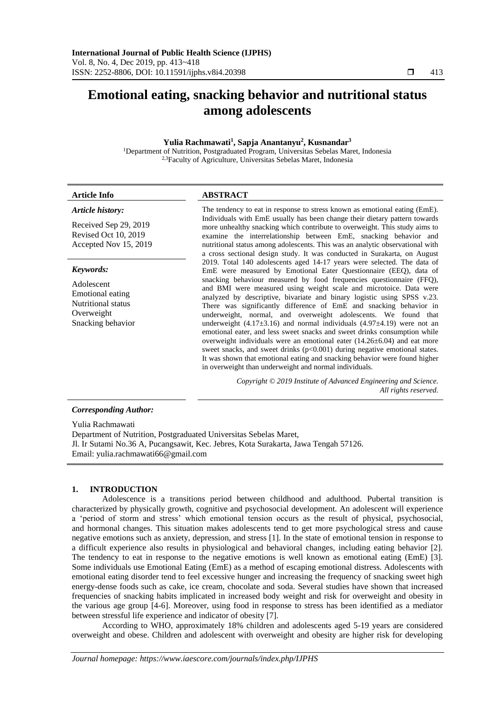# **Emotional eating, snacking behavior and nutritional status among adolescents**

#### **Yulia Rachmawati<sup>1</sup> , Sapja Anantanyu<sup>2</sup> , Kusnandar<sup>3</sup>**

<sup>1</sup>Department of Nutrition, Postgraduated Program, Universitas Sebelas Maret, Indonesia 2,3Faculty of Agriculture, Universitas Sebelas Maret, Indonesia

# **Article Info ABSTRACT**

### *Article history:*

Received Sep 29, 2019 Revised Oct 10, 2019 Accepted Nov 15, 2019

#### *Keywords:*

Adolescent Emotional eating Nutritional status Overweight Snacking behavior The tendency to eat in response to stress known as emotional eating (EmE). Individuals with EmE usually has been change their dietary pattern towards more unhealthy snacking which contribute to overweight. This study aims to examine the interrelationship between EmE, snacking behavior and nutritional status among adolescents. This was an analytic observational with a cross sectional design study. It was conducted in Surakarta, on August 2019. Total 140 adolescents aged 14-17 years were selected. The data of EmE were measured by Emotional Eater Questionnaire (EEQ), data of snacking behaviour measured by food frequencies questionnaire (FFQ), and BMI were measured using weight scale and microtoice. Data were analyzed by descriptive, bivariate and binary logistic using SPSS v.23. There was significantly difference of EmE and snacking behavior in underweight, normal, and overweight adolescents. We found that underweight  $(4.17\pm3.16)$  and normal individuals  $(4.97\pm4.19)$  were not an emotional eater, and less sweet snacks and sweet drinks consumption while overweight individuals were an emotional eater (14.26±6.04) and eat more sweet snacks, and sweet drinks (p<0.001) during negative emotional states. It was shown that emotional eating and snacking behavior were found higher in overweight than underweight and normal individuals.

> *Copyright © 2019 Institute of Advanced Engineering and Science. All rights reserved.*

# *Corresponding Author:*

Yulia Rachmawati

Department of Nutrition, Postgraduated Universitas Sebelas Maret, Jl. Ir Sutami No.36 A, Pucangsawit, Kec. Jebres, Kota Surakarta, Jawa Tengah 57126. Email: yulia.rachmawati66@gmail.com

#### **1. INTRODUCTION**

Adolescence is a transitions period between childhood and adulthood. Pubertal transition is characterized by physically growth, cognitive and psychosocial development. An adolescent will experience a 'period of storm and stress' which emotional tension occurs as the result of physical, psychosocial, and hormonal changes. This situation makes adolescents tend to get more psychological stress and cause negative emotions such as anxiety, depression, and stress [1]. In the state of emotional tension in response to a difficult experience also results in physiological and behavioral changes, including eating behavior [2]. The tendency to eat in response to the negative emotions is well known as emotional eating (EmE) [3]. Some individuals use Emotional Eating (EmE) as a method of escaping emotional distress. Adolescents with emotional eating disorder tend to feel excessive hunger and increasing the frequency of snacking sweet high energy-dense foods such as cake, ice cream, chocolate and soda. Several studies have shown that increased frequencies of snacking habits implicated in increased body weight and risk for overweight and obesity in the various age group [4-6]. Moreover, using food in response to stress has been identified as a mediator between stressful life experience and indicator of obesity [7].

According to WHO, approximately 18% children and adolescents aged 5-19 years are considered overweight and obese. Children and adolescent with overweight and obesity are higher risk for developing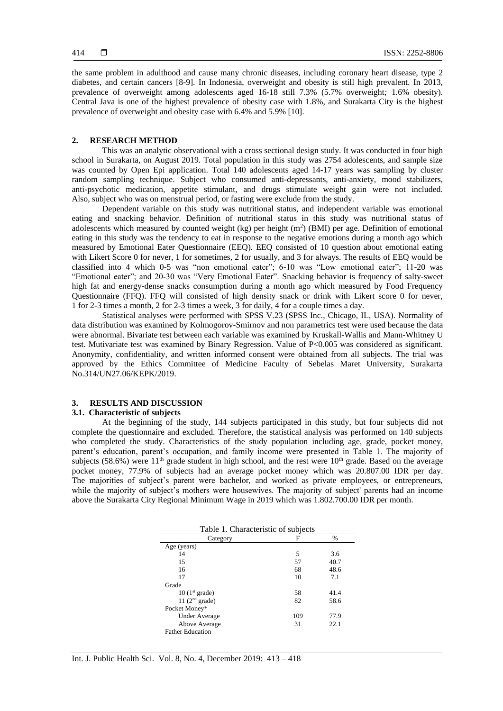the same problem in adulthood and cause many chronic diseases, including coronary heart disease, type 2 diabetes, and certain cancers [8-9]. In Indonesia, overweight and obesity is still high prevalent. In 2013, prevalence of overweight among adolescents aged 16-18 still 7.3% (5.7% overweight*;* 1.6% obesity). Central Java is one of the highest prevalence of obesity case with 1.8%, and Surakarta City is the highest prevalence of overweight and obesity case with 6.4% and 5.9% [10].

#### **2. RESEARCH METHOD**

This was an analytic observational with a cross sectional design study. It was conducted in four high school in Surakarta, on August 2019. Total population in this study was 2754 adolescents, and sample size was counted by Open Epi application. Total 140 adolescents aged 14-17 years was sampling by cluster random sampling technique. Subject who consumed anti-depressants, anti-anxiety, mood stabilizers, anti-psychotic medication, appetite stimulant, and drugs stimulate weight gain were not included. Also, subject who was on menstrual period, or fasting were exclude from the study.

Dependent variable on this study was nutritional status, and independent variable was emotional eating and snacking behavior. Definition of nutritional status in this study was nutritional status of adolescents which measured by counted weight  $(kg)$  per height  $(m<sup>2</sup>)$  (BMI) per age. Definition of emotional eating in this study was the tendency to eat in response to the negative emotions during a month ago which measured by Emotional Eater Questionnaire (EEQ). EEQ consisted of 10 question about emotional eating with Likert Score 0 for never, 1 for sometimes, 2 for usually, and 3 for always. The results of EEQ would be classified into 4 which 0-5 was "non emotional eater"; 6-10 was "Low emotional eater"; 11-20 was "Emotional eater"; and 20-30 was "Very Emotional Eater". Snacking behavior is frequency of salty-sweet high fat and energy-dense snacks consumption during a month ago which measured by Food Frequency Questionnaire (FFQ). FFQ will consisted of high density snack or drink with Likert score 0 for never, 1 for 2-3 times a month, 2 for 2-3 times a week, 3 for daily, 4 for a couple times a day.

Statistical analyses were performed with SPSS V.23 (SPSS Inc., Chicago, IL, USA). Normality of data distribution was examined by Kolmogorov-Smirnov and non parametrics test were used because the data were abnormal. Bivariate test between each variable was examined by Kruskall-Wallis and Mann-Whitney U test. Mutivariate test was examined by Binary Regression. Value of P<0.005 was considered as significant. Anonymity, confidentiality, and written informed consent were obtained from all subjects. The trial was approved by the Ethics Committee of Medicine Faculty of Sebelas Maret University, Surakarta No.314/UN27.06/KEPK/2019.

# **3. RESULTS AND DISCUSSION**

# **3.1. Characteristic of subjects**

At the beginning of the study, 144 subjects participated in this study, but four subjects did not complete the questionnaire and excluded. Therefore, the statistical analysis was performed on 140 subjects who completed the study. Characteristics of the study population including age, grade, pocket money, parent's education, parent's occupation, and family income were presented in Table 1. The majority of subjects (58.6%) were  $11<sup>th</sup>$  grade student in high school, and the rest were  $10<sup>th</sup>$  grade. Based on the average pocket money, 77.9% of subjects had an average pocket money which was 20.807.00 IDR per day. The majorities of subject's parent were bachelor, and worked as private employees, or entrepreneurs, while the majority of subject's mothers were housewives. The majority of subject' parents had an income above the Surakarta City Regional Minimum Wage in 2019 which was 1.802.700.00 IDR per month.

| Table 1. Characteristic of subjects |      |  |  |  |  |  |
|-------------------------------------|------|--|--|--|--|--|
| F                                   | %    |  |  |  |  |  |
|                                     |      |  |  |  |  |  |
| 5                                   | 3.6  |  |  |  |  |  |
| 57                                  | 40.7 |  |  |  |  |  |
| 68                                  | 48.6 |  |  |  |  |  |
| 10                                  | 7.1  |  |  |  |  |  |
|                                     |      |  |  |  |  |  |
| 58                                  | 41.4 |  |  |  |  |  |
| 82                                  | 58.6 |  |  |  |  |  |
|                                     |      |  |  |  |  |  |
| 109                                 | 77.9 |  |  |  |  |  |
| 31                                  | 22.1 |  |  |  |  |  |
|                                     |      |  |  |  |  |  |
|                                     |      |  |  |  |  |  |

| Table 1. Characteristic of subjects |  |  |
|-------------------------------------|--|--|
|                                     |  |  |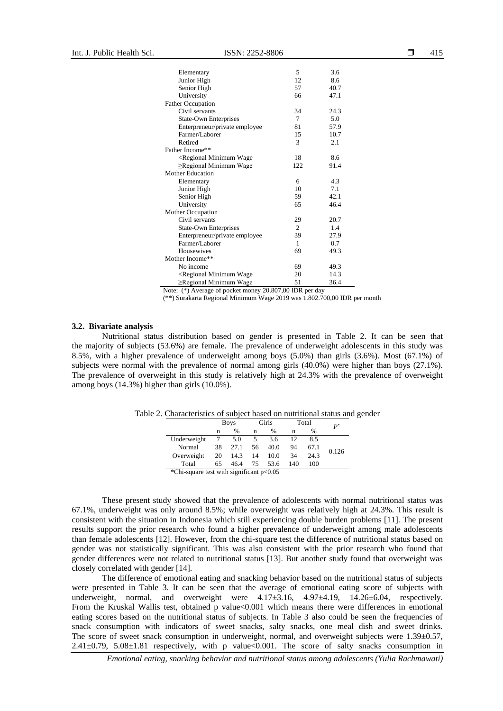| Elementary                                                              | 5   | 3.6  |
|-------------------------------------------------------------------------|-----|------|
| Junior High                                                             | 12  | 8.6  |
| Senior High                                                             | 57  | 40.7 |
| University                                                              | 66  | 47.1 |
| <b>Father Occupation</b>                                                |     |      |
| Civil servants                                                          | 34  | 24.3 |
| State-Own Enterprises                                                   | 7   | 5.0  |
| Enterpreneur/private employee                                           | 81  | 57.9 |
| Farmer/Laborer                                                          | 15  | 10.7 |
| Retired                                                                 | 3   | 2.1  |
| Father Income**                                                         |     |      |
| <regional minimum="" td="" wage<=""><td>18</td><td>8.6</td></regional>  | 18  | 8.6  |
| $\geq$ Regional Minimum Wage                                            | 122 | 91.4 |
| Mother Education                                                        |     |      |
| Elementary                                                              | 6   | 4.3  |
| Junior High                                                             | 10  | 7.1  |
| Senior High                                                             | 59  | 42.1 |
| University                                                              | 65  | 46.4 |
| Mother Occupation                                                       |     |      |
| Civil servants                                                          | 29  | 20.7 |
| State-Own Enterprises                                                   | 2   | 1.4  |
| Enterpreneur/private employee                                           | 39  | 27.9 |
| Farmer/Laborer                                                          | 1   | 0.7  |
| <b>Housewives</b>                                                       | 69  | 49.3 |
| Mother Income**                                                         |     |      |
| No income                                                               | 69  | 49.3 |
| <regional minimum="" td="" wage<=""><td>20</td><td>14.3</td></regional> | 20  | 14.3 |
| $\geq$ Regional Minimum Wage                                            | 51  | 36.4 |

Note: (\*) Average of pocket money 20.807,00 IDR per day

(\*\*) Surakarta Regional Minimum Wage 2019 was 1.802.700,00 IDR per month

#### **3.2. Bivariate analysis**

Nutritional status distribution based on gender is presented in Table 2. It can be seen that the majority of subjects (53.6%) are female. The prevalence of underweight adolescents in this study was 8.5%, with a higher prevalence of underweight among boys (5.0%) than girls (3.6%). Most (67.1%) of subjects were normal with the prevalence of normal among girls (40.0%) were higher than boys (27.1%). The prevalence of overweight in this study is relatively high at 24.3% with the prevalence of overweight among boys (14.3%) higher than girls (10.0%).

| n   | %    | $\boldsymbol{p}^*$ |
|-----|------|--------------------|
|     |      |                    |
| 12  | 8.5  |                    |
| 94  | 67.1 | 0.126              |
| 34  | 24.3 |                    |
| 140 | 100  |                    |
|     |      |                    |

Table 2. Characteristics of subject based on nutritional status and gender

\*Chi-square test with significant p<0.05

These present study showed that the prevalence of adolescents with normal nutritional status was 67.1%, underweight was only around 8.5%; while overweight was relatively high at 24.3%. This result is consistent with the situation in Indonesia which still experiencing double burden problems [11]. The present results support the prior research who found a higher prevalence of underweight among male adolescents than female adolescents [12]. However, from the chi-square test the difference of nutritional status based on gender was not statistically significant. This was also consistent with the prior research who found that gender differences were not related to nutritional status [13]. But another study found that overweight was closely correlated with gender [14].

The difference of emotional eating and snacking behavior based on the nutritional status of subjects were presented in Table 3. It can be seen that the average of emotional eating score of subjects with underweight, normal, and overweight were  $4.17\pm3.16$ ,  $4.97\pm4.19$ ,  $14.26\pm6.04$ , respectively. From the Kruskal Wallis test, obtained p value<0.001 which means there were differences in emotional eating scores based on the nutritional status of subjects. In Table 3 also could be seen the frequencies of snack consumption with indicators of sweet snacks, salty snacks, one meal dish and sweet drinks. The score of sweet snack consumption in underweight, normal, and overweight subjects were 1.39 $\pm$ 0.57, 2.41±0.79, 5.08±1.81 respectively, with p value<0.001. The score of salty snacks consumption in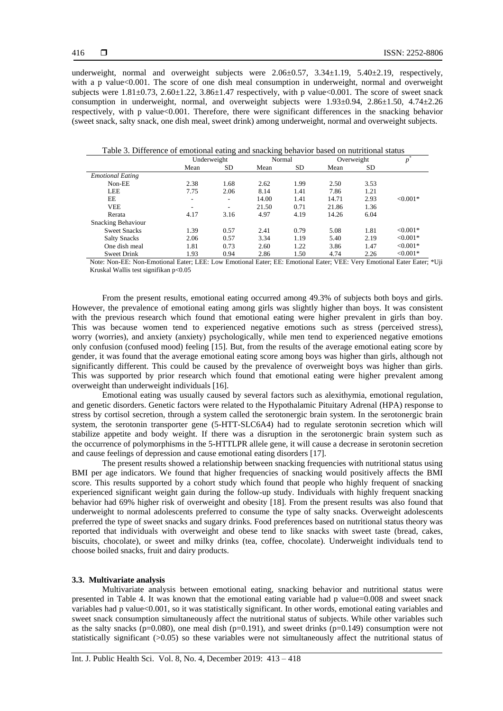underweight, normal and overweight subjects were  $2.06\pm0.57$ ,  $3.34\pm1.19$ ,  $5.40\pm2.19$ , respectively, with a p value<0.001. The score of one dish meal consumption in underweight, normal and overweight subjects were  $1.81 \pm 0.73$ ,  $2.60 \pm 1.22$ ,  $3.86 \pm 1.47$  respectively, with p value <0.001. The score of sweet snack consumption in underweight, normal, and overweight subjects were  $1.93\pm0.94$ ,  $2.86\pm1.50$ ,  $4.74\pm2.26$ respectively, with p value<0.001. Therefore, there were significant differences in the snacking behavior (sweet snack, salty snack, one dish meal, sweet drink) among underweight, normal and overweight subjects.

|                           |      | ັ           |       |           |       |            |            |
|---------------------------|------|-------------|-------|-----------|-------|------------|------------|
|                           |      | Underweight |       | Normal    |       | Overweight | p          |
|                           | Mean | <b>SD</b>   | Mean  | <b>SD</b> | Mean  | SD         |            |
| <b>Emotional Eating</b>   |      |             |       |           |       |            |            |
| Non-EE                    | 2.38 | 1.68        | 2.62  | 1.99      | 2.50  | 3.53       |            |
| LEE                       | 7.75 | 2.06        | 8.14  | 1.41      | 7.86  | 1.21       |            |
| EE                        | ۰.   | ۰           | 14.00 | 1.41      | 14.71 | 2.93       | $< 0.001*$ |
| <b>VEE</b>                | ۰    | -           | 21.50 | 0.71      | 21.86 | 1.36       |            |
| Rerata                    | 4.17 | 3.16        | 4.97  | 4.19      | 14.26 | 6.04       |            |
| <b>Snacking Behaviour</b> |      |             |       |           |       |            |            |
| <b>Sweet Snacks</b>       | 1.39 | 0.57        | 2.41  | 0.79      | 5.08  | 1.81       | $< 0.001*$ |
| <b>Salty Snacks</b>       | 2.06 | 0.57        | 3.34  | 1.19      | 5.40  | 2.19       | $< 0.001*$ |
| One dish meal             | 1.81 | 0.73        | 2.60  | 1.22      | 3.86  | 1.47       | $< 0.001*$ |
| <b>Sweet Drink</b>        | 1.93 | 0.94        | 2.86  | 1.50      | 4.74  | 2.26       | $< 0.001*$ |

Table 3. Difference of emotional eating and snacking behavior based on nutritional status

Note: Non-EE: Non-Emotional Eater; LEE: Low Emotional Eater; EE: Emotional Eater; VEE: Very Emotional Eater Eater; \*Uji Kruskal Wallis test signifikan p<0.05

From the present results, emotional eating occurred among 49.3% of subjects both boys and girls. However, the prevalence of emotional eating among girls was slightly higher than boys. It was consistent with the previous research which found that emotional eating were higher prevalent in girls than boy. This was because women tend to experienced negative emotions such as stress (perceived stress), worry (worries), and anxiety (anxiety) psychologically, while men tend to experienced negative emotions only confusion (confused mood) feeling [15]. But, from the results of the average emotional eating score by gender, it was found that the average emotional eating score among boys was higher than girls, although not significantly different. This could be caused by the prevalence of overweight boys was higher than girls. This was supported by prior research which found that emotional eating were higher prevalent among overweight than underweight individuals [16].

Emotional eating was usually caused by several factors such as alexithymia, emotional regulation, and genetic disorders. Genetic factors were related to the Hypothalamic Pituitary Adrenal (HPA) response to stress by cortisol secretion, through a system called the serotonergic brain system. In the serotonergic brain system, the serotonin transporter gene (5-HTT-SLC6A4) had to regulate serotonin secretion which will stabilize appetite and body weight. If there was a disruption in the serotonergic brain system such as the occurrence of polymorphisms in the 5-HTTLPR allele gene, it will cause a decrease in serotonin secretion and cause feelings of depression and cause emotional eating disorders [17].

The present results showed a relationship between snacking frequencies with nutritional status using BMI per age indicators. We found that higher frequencies of snacking would positively affects the BMI score. This results supported by a cohort study which found that people who highly frequent of snacking experienced significant weight gain during the follow-up study. Individuals with highly frequent snacking behavior had 69% higher risk of overweight and obesity [18]. From the present results was also found that underweight to normal adolescents preferred to consume the type of salty snacks. Overweight adolescents preferred the type of sweet snacks and sugary drinks. Food preferences based on nutritional status theory was reported that individuals with overweight and obese tend to like snacks with sweet taste (bread, cakes, biscuits, chocolate), or sweet and milky drinks (tea, coffee, chocolate). Underweight individuals tend to choose boiled snacks, fruit and dairy products.

### **3.3. Multivariate analysis**

Multivariate analysis between emotional eating, snacking behavior and nutritional status were presented in Table 4. It was known that the emotional eating variable had p value=0.008 and sweet snack variables had p value<0.001, so it was statistically significant. In other words, emotional eating variables and sweet snack consumption simultaneously affect the nutritional status of subjects. While other variables such as the salty snacks ( $p=0.080$ ), one meal dish ( $p=0.191$ ), and sweet drinks ( $p=0.149$ ) consumption were not statistically significant (>0.05) so these variables were not simultaneously affect the nutritional status of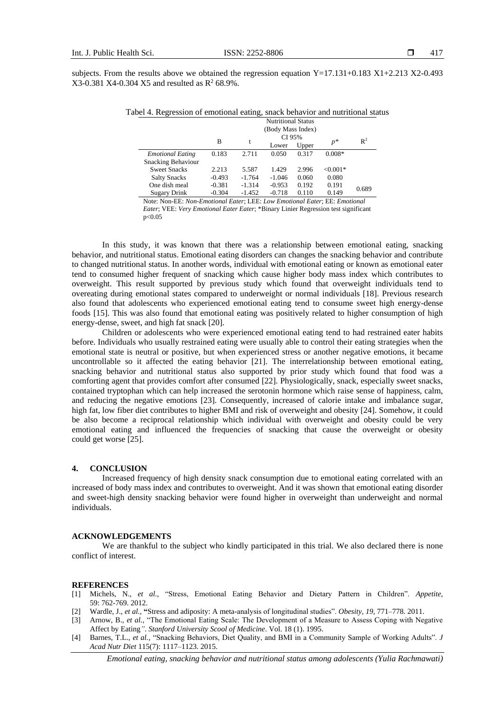subjects. From the results above we obtained the regression equation Y=17.131+0.183 X1+2.213 X2-0.493  $X3-0.381$  X4-0.304 X5 and resulted as  $R^2$  68.9%.

Tabel 4. Regression of emotional eating, snack behavior and nutritional status

|                           | <b>Nutritional Status</b> |          |          |       |            |                |
|---------------------------|---------------------------|----------|----------|-------|------------|----------------|
|                           | (Body Mass Index)         |          |          |       |            |                |
|                           | в                         |          | CI 95%   |       | $p^*$      | $\mathbb{R}^2$ |
|                           |                           | t        | Lower    | Upper |            |                |
| <b>Emotional Eating</b>   | 0.183                     | 2.711    | 0.050    | 0.317 | $0.008*$   |                |
| <b>Snacking Behaviour</b> |                           |          |          |       |            |                |
| <b>Sweet Snacks</b>       | 2.213                     | 5.587    | 1.429    | 2.996 | $< 0.001*$ |                |
| <b>Salty Snacks</b>       | $-0.493$                  | $-1.764$ | $-1.046$ | 0.060 | 0.080      |                |
| One dish meal             | $-0.381$                  | $-1.314$ | $-0.953$ | 0.192 | 0.191      | 0.689          |
| <b>Sugary Drink</b>       | $-0.304$                  | $-1.452$ | $-0.718$ | 0.110 | 0.149      |                |

Note: Non-EE: *Non-Emotional Eater*; LEE: *Low Emotional Eater*; EE: *Emotional Eater*; VEE: *Very Emotional Eater Eater*; \*Binary Linier Regression test significant p<0.05

In this study, it was known that there was a relationship between emotional eating, snacking behavior, and nutritional status. Emotional eating disorders can changes the snacking behavior and contribute to changed nutritional status. In another words, individual with emotional eating or known as emotional eater tend to consumed higher frequent of snacking which cause higher body mass index which contributes to overweight. This result supported by previous study which found that overweight individuals tend to overeating during emotional states compared to underweight or normal individuals [18]. Previous research also found that adolescents who experienced emotional eating tend to consume sweet high energy-dense foods [15]. This was also found that emotional eating was positively related to higher consumption of high energy-dense, sweet, and high fat snack [20].

Children or adolescents who were experienced emotional eating tend to had restrained eater habits before. Individuals who usually restrained eating were usually able to control their eating strategies when the emotional state is neutral or positive, but when experienced stress or another negative emotions, it became uncontrollable so it affected the eating behavior [21]. The interrelationship between emotional eating, snacking behavior and nutritional status also supported by prior study which found that food was a comforting agent that provides comfort after consumed [22]. Physiologically, snack, especially sweet snacks, contained tryptophan which can help increased the serotonin hormone which raise sense of happiness, calm, and reducing the negative emotions [23]. Consequently, increased of calorie intake and imbalance sugar, high fat, low fiber diet contributes to higher BMI and risk of overweight and obesity [24]. Somehow, it could be also become a reciprocal relationship which individual with overweight and obesity could be very emotional eating and influenced the frequencies of snacking that cause the overweight or obesity could get worse [25].

#### **4. CONCLUSION**

Increased frequency of high density snack consumption due to emotional eating correlated with an increased of body mass index and contributes to overweight. And it was shown that emotional eating disorder and sweet-high density snacking behavior were found higher in overweight than underweight and normal individuals.

#### **ACKNOWLEDGEMENTS**

We are thankful to the subject who kindly participated in this trial. We also declared there is none conflict of interest.

#### **REFERENCES**

- [1] Michels, N., *et al.,* "Stress, Emotional Eating Behavior and Dietary Pattern in Children". *Appetite*, 59: 762-769. 2012.
- [2] Wardle, J., *et al.,* **"**Stress and adiposity: A meta-analysis of longitudinal studies". *Obesity, 19,* 771–778. 2011.
- [3] Arnow, B., *et al.,* "The Emotional Eating Scale: The Development of a Measure to Assess Coping with Negative Affect by Eating*"*. *Stanford University Scool of Medicine*. Vol. 18 (1). 1995.
- [4] Barnes, T.L., *et al.,* "Snacking Behaviors, Diet Quality, and BMI in a Community Sample of Working Adults". *J Acad Nutr Diet* 115(7): 1117–1123. 2015.